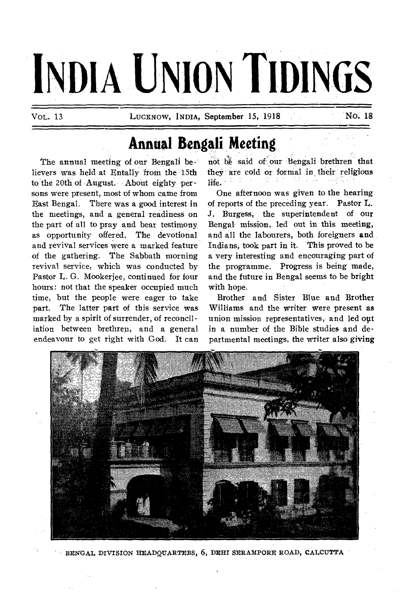# **INDIA UNION TIDINGS**

**13 LUCKNOW, INDIA, September 15, 1918 No. 18** 

**..••••••0•••••** 

#### **Annual Bengali Meeting**

**The annual meeting of our Bengali believers was held at Entally from the 15th to the 20th of August. About eighty persons were present, most of whom came from East Bengal. There was a good interest in the meetings, and a general readiness on the part of all to pray and bear testimony as opportunity offered. The devotional and revival services were a marked feature of the gathering. The Sabbath morning**  revival service, which was conducted by **Pastor L. G. Mookerjee, continued for four hours: not that the speaker occupied much time, but the people were eager to take part. The latter part of this service was marked by a spirit of surrender, of reconcil iation between brethren, and a general endeavour to get right with God. It can**  not be said of our Bengali brethren that **they are cold or fornial in, their religious life.** 

**One afternoon was given to the hearing of reports of the preceding year. Pastor L. J. Burgess, the superintendent of our Bengal mission, led out in this meeting, and all the labourers, both foreigners and Indians, took part in it. This proved to be a very interesting and encouraging part of the programme. Progress is being made, and the future in Bengal seems to be bright with hope.** 

**Brother and Sister Blue and Brother Williams and the writer were present as**  union mission representatives, and led out **in a number of the Bible studies and departmental meetings, the writer also giving** 



BENGAL DIVISION HEADQUARTEBS, 6, DEHI SERAMPORE ROAD, CALCUTTA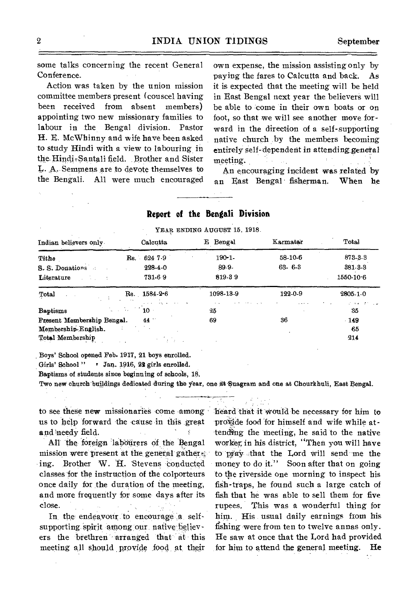some talks concerning the recent General Conference.

Action was taken by the union mission committee members present (couscel having been received from absent members) appointing two new missionary families to labour in the Bengal division. Pastor **H.** E. McWhinny and wife have been asked to study Hindi with a view to labouring in the Hindi-Santali field. Brother and Sister L. A. Semmens are to devote themselves to the Bengali. All were much encouraged own expense, the mission assisting only by paying the fares to Calcutta and back. As it is expected that the meeting will be held in East Bengal next year the believers will be able to come in their own boats or on foot, so that we will see another move forward in the direction of a self-supporting native church by the members becoming entirely self-dependent in attending general meeting.

An encouraging incident was related by an East Bengal fisherman. When he

| YEAR ENDING AUGUST 15, 1918.           |                                    |             |              |                                       |
|----------------------------------------|------------------------------------|-------------|--------------|---------------------------------------|
| Indian believers only.                 | Calcutta                           | Bengal<br>Е | Karmatar     | Total                                 |
| Tithe                                  | Rs. 624 7.9                        | $190 - 1$   | 58-10-6      | 873-3-3                               |
| S.S. Donations                         | 228-4-0                            | 89.9.       | $63 - 6 - 3$ | $381 - 3 - 3$                         |
| Literature<br><b>Contract Contract</b> | 731-6-9                            | 819-39      |              | 1550-10-6                             |
| Total                                  | $Rs. 1584-2-6$                     | 1098-13-9   | 122-0-9      | 2805-1-0                              |
| <b>Baptisms</b>                        | and a series of<br>せいねつが<br>$10 -$ | 25          |              | $2.14 \times 10^{11}$ and $2.1$<br>35 |
| Present Membership Bengal.             | 44 **                              | 69          | 36           | $-149$                                |
| Membership-English.                    |                                    |             |              | -65                                   |
| Total Membership                       | in Britannia                       |             |              | $-214$                                |

#### **Report of the Bengali Division**

Boys' School opened Feb. 1917, 21 boys enrolled.

Girls' School "  $\cdot$  Jan. 1916, 22 girls enrolled.

Baptisms of students since beginning of schools, 18.

Two new church buildings dedicated during the year, one at Suagram and one at Chourkhuli, East Bengal.

to see these new missionaries come among heard that it would be necessary for him to us to help forward the cause in this great and`needy field.  $\mathbf{x}$ 

All the foreign labourers of the Bengal mission were present at the general gather. ing. Brother W. H. Stevens conducted classes for the instruction of the colporteurs once daily for the duration of the meeting, and more frequently for some days after its close.

In the endeavour to encourage a selfsupporting spirit among our native believers the brethren arranged that at this meeting all should provide food at their provide food for himself and wife while attending the meeting, he said to the native worker, in his district, "Then you will have to pray that the Lord will send me the money to do it." Soon after that on going to the riverside one morning to inspect his fish-traps, he found such a large catch of fish that he was able to sell them for five rupees. This was a wonderful thing for him. His usual daily earnings from his fishing were from ten to twelve annas only. He saw at once that the Lord had provided for him to attend the general meeting. He

۰,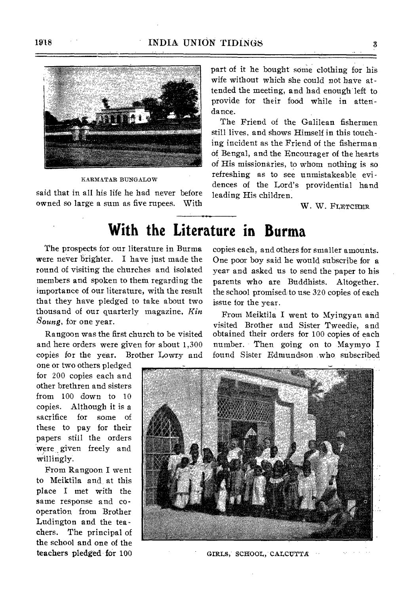

KARMATAR BUNGALOW

said that in all his life he had never before owned so large a sum as five rupees. With part of it he bought some clothing for his wife without which she could not have attended the meeting, and had enough left to provide for their food while in attendance.

The Friend of the Galilean fishermen still lives, and shows Himself in this touching incident as the Friend of the fisherman of Bengal, and the Encourager of the hearts of His missionaries, to whom nothing is so refreshing as to see unmistakeable evidences of the Lord's providential hand leading His children.

W. W. FLETCHER

### **With the Literature in Burma**

The prospects for our literature in Burma were never brighter. I have just made the round of visiting the churches and isolated members and spoken to them regarding the importance of our literature, with the result that they have pledged to take about two thousand of our quarterly magazine, *Kin Soung,* for one year.

Rangoon was the first church to be visited and here orders were given for about 1,300 copies for the year. Brother Lowry and

one or two others pledged for 200 copies each and other brethren and sisters from 100 down to 10 copies. Although it is a sacrifice for some of these to pay for their papers still the orders were given freely and willingly.

From Rangoon I went to Meiktila and at this place I met with the same response and cooperation from Brother Ludington and the teachers. The principal of the school and one of the teachers pledged for 100

copies each, and others for smaller amounts. One poor boy said he would subscribe for a year and asked us to send the paper to his parents who are Buddhists. Altogether, the school promised to use 320 copies of each issue for the year.

From Meiktila I went to Myingyan and visited Brother and Sister Tweedie, and obtained their orders for 100 copies of each number. Then going on to Maymyo I found Sister Edmundson who subscribed



GIRLS, SCHOOL, CALCUTTA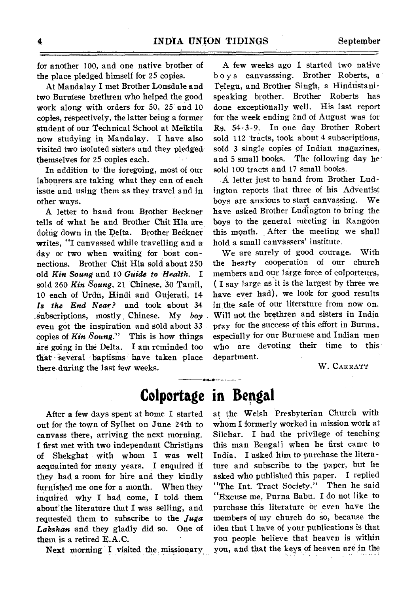for another 100, and one native brother of the place pledged himself for 25 copies.

At Mandalay I met Brother Lonsdale and two Burmese brethren who helped the good work along with orders for 50, 25 and 10 copies, respectively, the latter being a former student of our Technical School at Meiktila now studying in Mandalay. I have also visited two isolated sisters and they pledged themselves for 25 copies each.

In addition to the foregoing, most of our labourers are taking what they can of each issue and using them as they travel and in other ways.

A letter to hand from Brother Beckner tells of what he and Brother Chit Hla are doing down in the Delta. Brother Beckner writes, "I canvassed while travelling and a' day or two when waiting for boat connections. Brother Chit Hla sold about 250 old *Kin Soung* and 10 *Guide to Health.* I sold 260 Kin *Soung,* 21 Chinese, 30 Tamil, 10 each of Urdu, Hindi and Gujerati, 14 *Is the End Near?* and took about 34 subscriptions, mostly , Chinese. My *boy*  even got the inspiration and sold about 33 copies of *Kin Soung."* This is how things are going in the Delta. I am reminded too that several baptisms have taken place there during the last few weeks.

A few weeks ago I started two native boys canvasssing. Brother Roberts, a Telegu, and Brother Singh, a Hindustanispeaking brother. Brother Roberts has done exceptionally well. His last report for the week ending 2nd of August was for Rs. 54-3-9. In one day Brother Robert sold 112 tracts, took about 4 subscriptions, sold 3 single copies of Indian magazines, and 5 small books. The following day he sold 100 tracts and 17 small books.

A letter just to hand from Brother Ludington reports that three of his Adventist boys are anxious to start canvassing. We have asked Brother Ludington to bring the boys to the general meeting in Rangoon this month. After the meeting we shall hold a small canvassers' institute.

We are surely of good courage. With the hearty cooperation of our church members and our large force of colporteurs, ( I say large as it is the largest by three we have ever had), we look for good results in the sale of our literature from now on. Will not the brethren and sisters in India pray for the success of this effort in Burma, especially for our Burmese and Indian men who are devoting their time to this department.

W. CARRATT

#### **Colportage in Bengal**

After a few days spent at home I started out for the town of Sylhet on June 24th to canvass there, arriving the next morning. I first met with two independant Christians of Shekghat with whom I was well acquainted for many years. I enquired if they had a room for hire and they kindly furnished me one for a month. When they inquired why I had come, I told, them about the literature that I was selling, and requested them to subscribe to the *Juga Lakshan* and they gladly did so. One of them is a retired E.A.C.

Next morning I visited the missionary

at the Welsh Presbyterian Church with whom I formerly worked in mission work at Silchar. I had the privilege of teaching this man Bengali when he first came to India. I asked him to purchase the literature and subscribe to the paper, but he asked who published this paper. I replied "The Int. Tract Society." Then he said "Excuse me, Purna Babu. I do not like to purchase this literature or even have the members of my church do so, because the idea that I have of your publications is that you people believe that heaven is within you, and that the keys of heaven are in the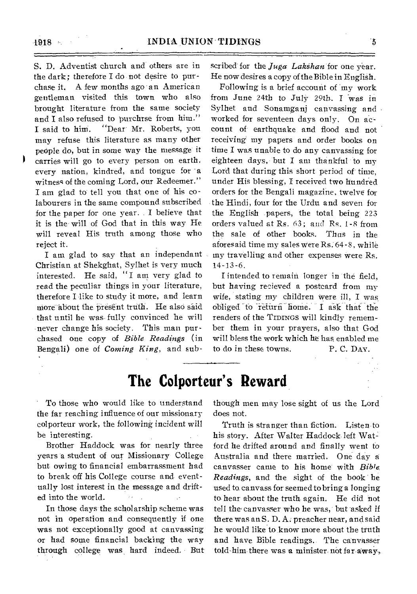S. D. Adventist church and others are in the dark; therefore I do not desire to purchase it. A few months ago an American gentleman visited this town who also brought literature from the same society and I also refused to purchrse from him." I said to him. "Dear Mr. Roberts, you may refuse this literature as many other people do, but in some way the message it carries will go to every person on earth. every nation, kindred, and tongue for a witness of the coming Lord, our Redeemer." I am glad to tell you that one of his colabourers in the same compound subscribed for the paper for one year.  $I$  believe that it is the will of God that in this way He will reveal His truth among those who reject it.

I am glad to say that an independant Christian at Shekghat, Sylhet is very much interested. He said, "I am very glad to read the peculiar things in your literature, therefore I like to study it more, and learn more about the present truth. He also said that until he was fully convinced he will never change his society. This man purchased one copy of *Bible Readings* (in Bengali) one of *Coming King,* and sub-

scribed for the *Juga Lakshan* for one year. He now desires a copy of the Bible in English.

Following is a brief account of my work from June 24th to July 29th. I was in Sylhet and Sonamganj canvassing and worked for seventeen days only. On account of earthquake and flood and not receiving my papers and order books on time I was unable to do any canvassing for eighteen days, but I am thankful to my Lord that during this short period of time, under His blessing, I received two hundred orders for the Bengali magazine, twelve for the Hindi, four for the Urdu and seven for the English papers, the total being 223 orders valued at Rs. 63; and Rs. 1-8 from the sale of other books. Thus in the aforesaid time my sales were Rs. 64-8, while my travelling and other expenses were Rs. 14-13-6.

I intended to remain longer in the field, but having recieved a postcard from my wife, stating my children Were ill, I was obliged to return home. I ask that the readers of the TIDINGS will kindly remember them in your prayers, also that God will bless the work which he has enabled me to do in these towns. P. C. DAY.

#### **The Colporteur's Reward**

To those who would like to understand the far reaching influence of our missionary colporteur work, the following incident will be interesting.

Brother Haddock was for nearly three years a student of our Missionary College but owing to financial embarrassment had to break off his College course and eventually lost interest in the message and drifted into the world.  $\mathcal{F}(\mathbf{z})$ 

In those days the scholarship scheme was not in operation and consequently if one was not exceptionally good at canvassing or had some financial backing the way through college was hard indeed. But though men may lose sight of us the Lord does not.

Truth is stranger than fiction. Listen to his story. After Walter Haddock left Watford he drifted around and finally went to Australia and there married. One day a canvasser came to his home with *Bible. Readings*, and the sight of the book he used to, canvass for seemed to bring a longing to, hear about the truth again. He did not tell the,canvasser who he was, but asked if there was an S. D. A. preacher near, and said be would like to know more about the truth and have Bible readings. The canvasser told-him there was a minister not *faraway,*.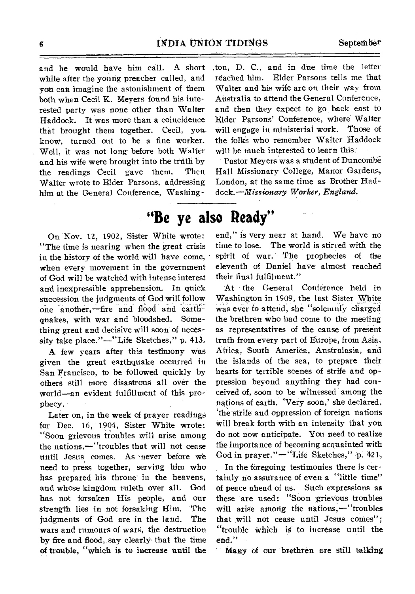and he would have him call. A short while after the young preacher called, and you can imagine the astonishment of them both when Cecil K. Meyers found his interested party was none other than Walter Haddock. It was more than a coincidence that brought them together. Cecil, you\_ know, turned out to be a fine worker. Well, it was not long before both Walter and his wife were brought into the truth by the readings Cecil gave them. Then Walter wrote to Elder Parsons, addressing him at the General Conference, Washing;ton, D. C., and in due time the letter reached him. Elder Parsons tells me that Walter and his wife are on their way from Australia to attend the General Conference, and then they expect to go back east to Elder Parsons' Conference, where Walter will engage in ministerial work. Those of the folks who remember Walter Haddock will be much interested to learn this.

Pastor Meyers was a student of Dunconibe Hall Missionary. College, Manor Gardens, London, at the same time as Brother Had*dock.—Missionary Worker, England.* 

## **"Be ye also Ready"**

On Nov. 12, 1902, Sister White wrote: "The time is nearing when the great crisis in the history of the world will have come, when every movement in the government of God will be watched with intense interest and inexpressible apprehension. In quick succession the judgments of God will follow one another,--fire and flood and earthquakes, with war and bloodshed. Something great and decisive will soon of necessity take place."—"Life Sketches," p. 413.

A few years after this testimony was given the great earthquake occurred in San Francisco, to be followed quickly by others still more disastrous all over the world—an evident fulfillment of this prophecy.

Later on, in the week of prayer readings for Dec. 16, 1904, Sister White wrote: "Soon grievous troubles will arise among the nations,—"troubles that will not cease until Jesus comes. As never before we need to press together, serving him who has prepared his throne in the heavens, and whose kingdom ruleth over all. God has not forsaken His people, and our strength lies in not forsaking Him. The judgments of God are in the land. The wars and rumours of wars, the destruction by fire and flood, say clearly that the time of trouble, "which is to increase until the

end," is very near at hand. We have no time to lose. The world is stirred with the spirit of war. The prophecies of the eleventh of Daniel have almost reached their final fulfilment."

At the General Conference held in Washington in 1909, the last Sister White was ever to attend, she "solemnly charged the brethren who had come to the meeting as representatives of the cause of present truth from every part of Europe, from Asia, Africa, South America, Australasia, and the islands of the sea, to prepare their hearts for terrible scenes of strife and oppression beyond anything they had conceived of, soon to be witnessed among the nations of earth. 'Very soon,' she declared, `the strife and oppression of foreign nations will break forth with an intensity that you do not now anticipate. You need to realize the importance of becoming acquainted with God in prayer." $-$ "Life Sketches," p. 421,

In the foregoing testimonies there is certainly no assurance of even a "little time" of peace ahead of us. Such expressions as these are used: "Soon grievous troubles will arise among the nations,—"troubles that will not cease until Jesus comes": "trouble Which is to increase until the end."

*Many* of our brethren are still talking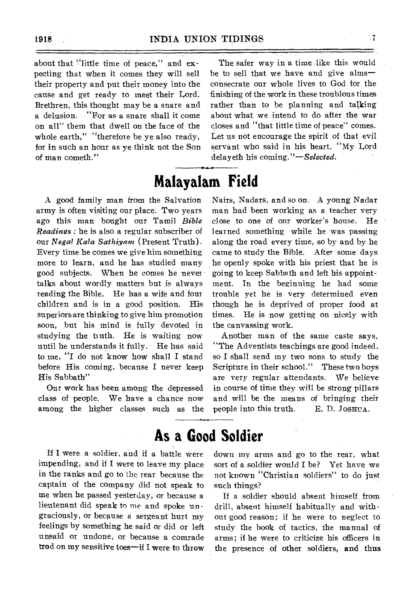about that "little time of peace," and expecting that when it comes they will sell their property and put their money into the cause and get ready to meet their Lord. Brethren, this thought may be a snare and a delusion. "For as a snare shall it come on all" them that dwell on the face of the whole earth," "therefore be ye also ready, for in such an hour as ye think not the Son of man cometh."

The safer way in a time like this would be to sell that we have and give alms consecrate our whole lives to God for the finishing of the work in these troublous times rather than to be planning and talking about what we intend to do after the war closes and "that little time of peace" comes. Let us not encourage the spirit of that evil servant who said in his heart, "My Lord delayeth his *coming."—Selected.* 

#### **Malayalam Field**

A good family man from the Salvation army is often visiting our place. Two years ago this man bought our Tamil *Bible Readings :* he is also a regular subscriber of our *Negal Kala Sathiyam* (Present Truth). Every time he comes we give him something more to learn, and he has studied many he openly spoke with his priest that he is good subjects. When he comes he never talks about wordly matters but is always reading the Bible. He has a wife and four children and is in a good position. His superiors are thinking to give him promotion soon, but his mind is fully devoted in studying the truth. He is waiting now until he understands it fully. He has said to me, "I do not know how shall I stand before His coming, because I never keep His Sabbath"

Our work has been among the depressed class of people. We have a chance now among the higher classes such as the Nairs, Nadars, and so on. A young Nadar man had been working as a teacher very close to one of our worker's house. He learned something while he was passing along the road every time, so by and by he came to study the Bible. After some days going to keep Sabbath and left his appointment. In the beginning he had some trouble yet he is very determined even though he is deprived of proper food at times. He is now getting on nicely with the canvassing work.

Another man of the same caste says, "The Adventists teachings are good indeed, so I shall send my two sons to study the Scripture in their school." These two boys are very regular attendants. We believe in course of time they will be strong pillars and will be the means of bringing their people into this truth. E. D. JOSHUA.

#### **As a Good Soldier**

If I were a soldier, and if a battle were impending, and if I were to leave my place in the ranks and go to the rear because the captain of the company did not speak to me when he passed yesterday, or because a lieutenant did speak to me and spoke un graciously, or because a sergeant hurt my feelings by something he said or did or left unsaid or undone, or because a comrade trod on my sensitive toes—if I were to throw down my arms and go to the rear, what sort of a soldier would I be? Yet have we not known "Christian soldiers" to do just such things?

If a soldier should absent himself from drill, absent himself habitually and without good reason; if he were to neglect to study- the book of tactics, the manual of arms; if he were to criticize his officers in the presence of other soldiers, and thus